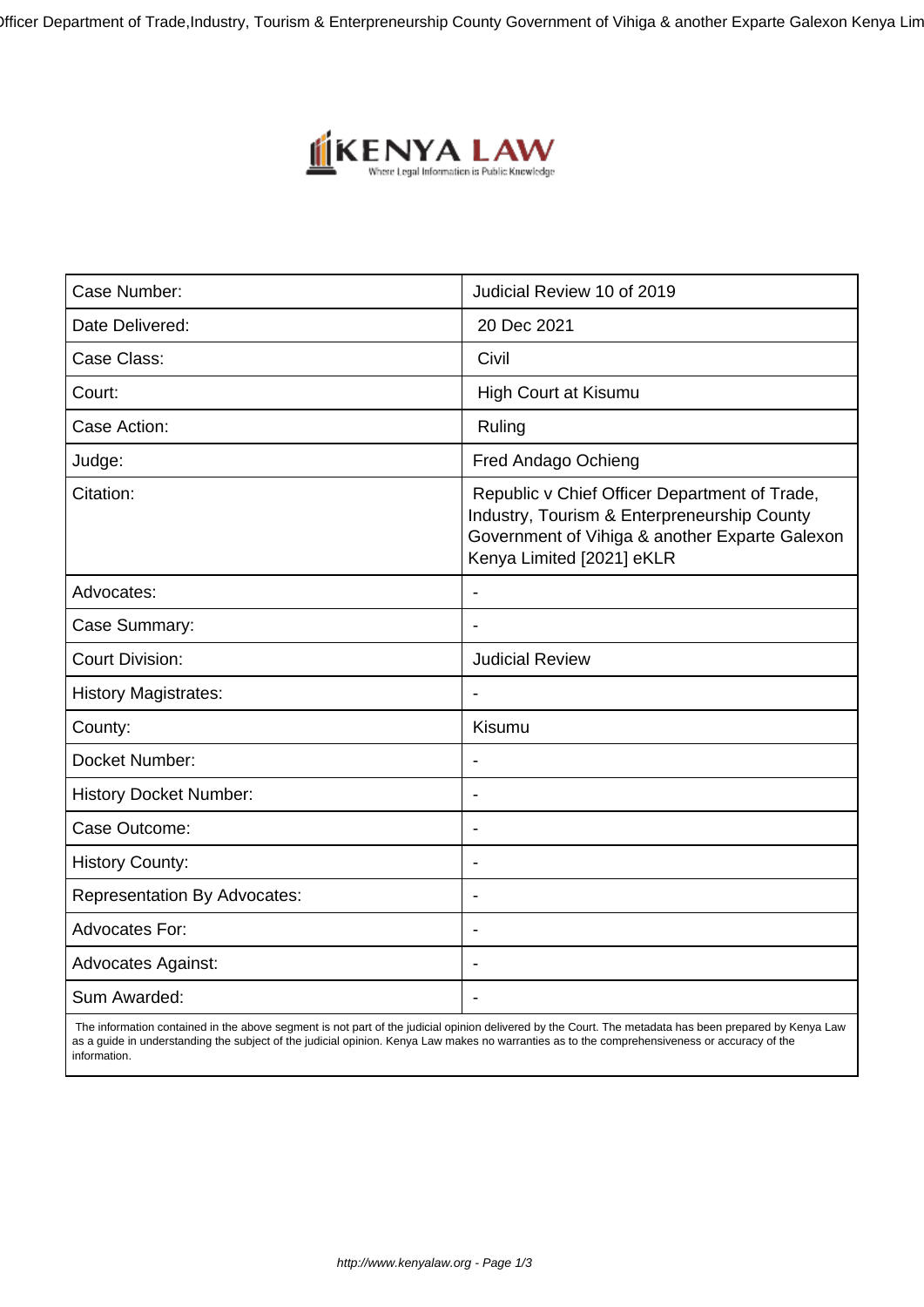)fficer Department of Trade, Industry, Tourism & Enterpreneurship County Government of Vihiga & another Exparte Galexon Kenya Lin



| Case Number:                        | Judicial Review 10 of 2019                                                                                                                                                  |
|-------------------------------------|-----------------------------------------------------------------------------------------------------------------------------------------------------------------------------|
| Date Delivered:                     | 20 Dec 2021                                                                                                                                                                 |
| Case Class:                         | Civil                                                                                                                                                                       |
| Court:                              | <b>High Court at Kisumu</b>                                                                                                                                                 |
| Case Action:                        | Ruling                                                                                                                                                                      |
| Judge:                              | Fred Andago Ochieng                                                                                                                                                         |
| Citation:                           | Republic v Chief Officer Department of Trade,<br>Industry, Tourism & Enterpreneurship County<br>Government of Vihiga & another Exparte Galexon<br>Kenya Limited [2021] eKLR |
| Advocates:                          | $\blacksquare$                                                                                                                                                              |
| Case Summary:                       |                                                                                                                                                                             |
| <b>Court Division:</b>              | <b>Judicial Review</b>                                                                                                                                                      |
| <b>History Magistrates:</b>         | $\blacksquare$                                                                                                                                                              |
| County:                             | Kisumu                                                                                                                                                                      |
| Docket Number:                      |                                                                                                                                                                             |
| <b>History Docket Number:</b>       | $\blacksquare$                                                                                                                                                              |
| Case Outcome:                       | $\overline{\phantom{a}}$                                                                                                                                                    |
| <b>History County:</b>              | $\overline{\phantom{a}}$                                                                                                                                                    |
| <b>Representation By Advocates:</b> |                                                                                                                                                                             |
| <b>Advocates For:</b>               | $\overline{\phantom{a}}$                                                                                                                                                    |
| <b>Advocates Against:</b>           |                                                                                                                                                                             |
| Sum Awarded:                        |                                                                                                                                                                             |

 The information contained in the above segment is not part of the judicial opinion delivered by the Court. The metadata has been prepared by Kenya Law as a guide in understanding the subject of the judicial opinion. Kenya Law makes no warranties as to the comprehensiveness or accuracy of the information.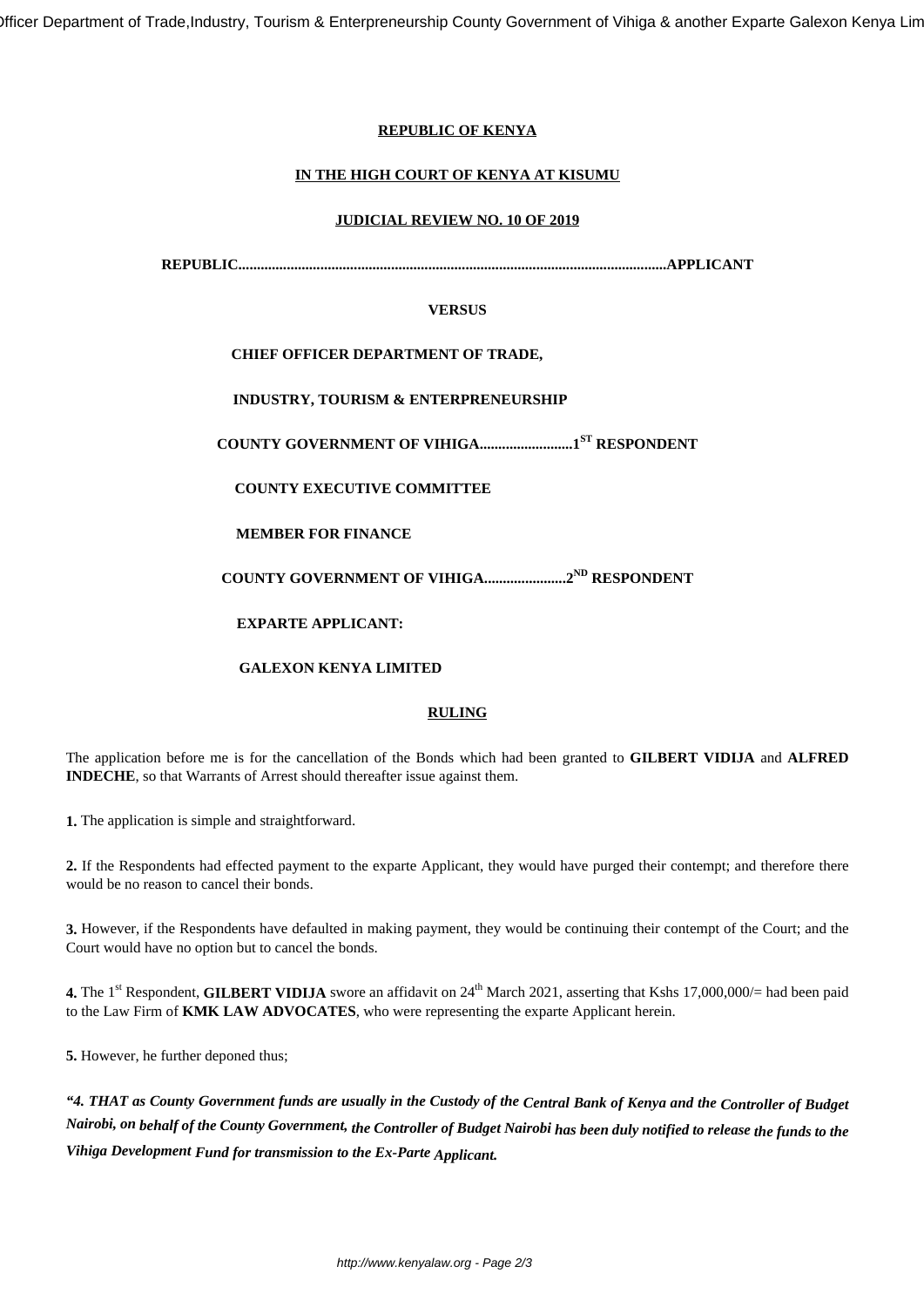)fficer Department of Trade, Industry, Tourism & Enterpreneurship County Government of Vihiga & another Exparte Galexon Kenya Lin

# **REPUBLIC OF KENYA**

# **IN THE HIGH COURT OF KENYA AT KISUMU**

#### **JUDICIAL REVIEW NO. 10 OF 2019**

**REPUBLIC...................................................................................................................APPLICANT**

### **VERSUS**

# **CHIEF OFFICER DEPARTMENT OF TRADE,**

**INDUSTRY, TOURISM & ENTERPRENEURSHIP**

**COUNTY GOVERNMENT OF VIHIGA.........................1ST RESPONDENT**

**COUNTY EXECUTIVE COMMITTEE**

**MEMBER FOR FINANCE**

**COUNTY GOVERNMENT OF VIHIGA......................2ND RESPONDENT**

**EXPARTE APPLICANT:**

**GALEXON KENYA LIMITED**

# **RULING**

The application before me is for the cancellation of the Bonds which had been granted to **GILBERT VIDIJA** and **ALFRED INDECHE**, so that Warrants of Arrest should thereafter issue against them.

**1.** The application is simple and straightforward.

**2.** If the Respondents had effected payment to the exparte Applicant, they would have purged their contempt; and therefore there would be no reason to cancel their bonds.

**3.** However, if the Respondents have defaulted in making payment, they would be continuing their contempt of the Court; and the Court would have no option but to cancel the bonds.

**4.** The 1<sup>st</sup> Respondent, **GILBERT VIDIJA** swore an affidavit on 24<sup>th</sup> March 2021, asserting that Kshs 17,000,000/= had been paid to the Law Firm of **KMK LAW ADVOCATES**, who were representing the exparte Applicant herein.

**5.** However, he further deponed thus;

*"4. THAT as County Government funds are usually in the Custody of the Central Bank of Kenya and the Controller of Budget Nairobi, on behalf of the County Government, the Controller of Budget Nairobi has been duly notified to release the funds to the Vihiga Development Fund for transmission to the Ex-Parte Applicant.*